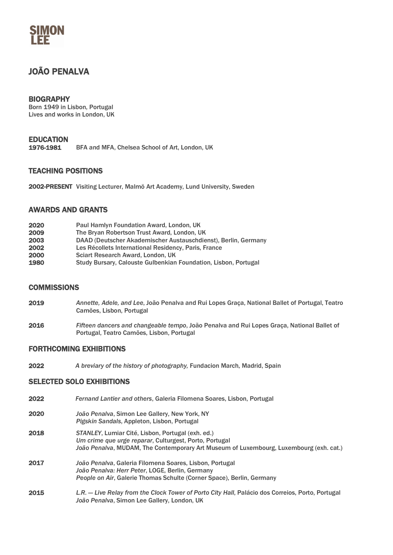# MON

# JOÃO PENALVA

# **BIOGRAPHY**

Born 1949 in Lisbon, Portugal Lives and works in London, UK

# EDUCATION<br>1976-1981

BFA and MFA, Chelsea School of Art, London, UK

### TEACHING POSITIONS

2002-PRESENT Visiting Lecturer, Malmö Art Academy, Lund University, Sweden

### AWARDS AND GRANTS

| 2020 | Paul Hamlyn Foundation Award, London, UK                        |
|------|-----------------------------------------------------------------|
| 2009 | The Bryan Robertson Trust Award, London, UK                     |
| 2003 | DAAD (Deutscher Akademischer Austauschdienst), Berlin, Germany  |
| 2002 | Les Récollets International Residency, Paris, France            |
| 2000 | Sciart Research Award, London, UK                               |
| 1980 | Study Bursary, Calouste Gulbenkian Foundation, Lisbon, Portugal |

#### **COMMISSIONS**

- 2019 *Annette, Adele, and Lee*, João Penalva and Rui Lopes Graça, National Ballet of Portugal, Teatro Camões, Lisbon, Portugal
- 2016 *Fifteen dancers and changeable tempo*, João Penalva and Rui Lopes Graça, National Ballet of Portugal, Teatro Camões, Lisbon, Portugal

#### FORTHCOMING EXHIBITIONS

2022 *A breviary of the history of photography,* Fundacion March, Madrid, Spain

### SELECTED SOLO EXHIBITIONS

- 2022 *Fernand Lantier and others*, Galeria Filomena Soares, Lisbon, Portugal
- 2020 *João Penalva*, Simon Lee Gallery, New York, NY *Pigskin Sandals*, Appleton, Lisbon, Portugal
- 2018 *STANLEY*, Lumiar Cité, Lisbon, Portugal (exh. ed.) *Um crime que urge reparar*, Culturgest, Porto, Portugal *João Penalva*, MUDAM, The Contemporary Art Museum of Luxembourg, Luxembourg (exh. cat.)
- 2017 *João Penalva*, Galeria Filomena Soares, Lisbon, Portugal *João Penalva: Herr Peter*, LOGE, Berlin, Germany *People on Air*, Galerie Thomas Schulte (Corner Space), Berlin, Germany
- 2015 *L.R. — Live Relay from the Clock Tower of Porto City Hall*, Palácio dos Correios, Porto, Portugal *João Penalva*, Simon Lee Gallery, London, UK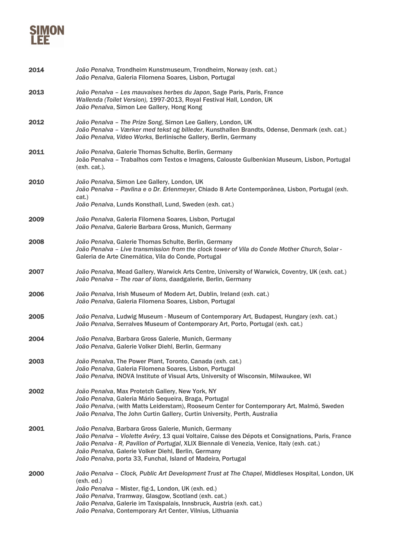

| 2014 | João Penalva, Trondheim Kunstmuseum, Trondheim, Norway (exh. cat.)<br>João Penalva, Galeria Filomena Soares, Lisbon, Portugal                                                                                                                                                                                                                                                    |
|------|----------------------------------------------------------------------------------------------------------------------------------------------------------------------------------------------------------------------------------------------------------------------------------------------------------------------------------------------------------------------------------|
| 2013 | João Penalva - Les mauvaises herbes du Japon, Sage Paris, Paris, France<br>Wallenda (Toilet Version), 1997-2013, Royal Festival Hall, London, UK<br>João Penalva, Simon Lee Gallery, Hong Kong                                                                                                                                                                                   |
| 2012 | João Penalva - The Prize Song, Simon Lee Gallery, London, UK<br>João Penalva - Værker med tekst og billeder, Kunsthallen Brandts, Odense, Denmark (exh. cat.)<br>João Penalva, Video Works, Berlinische Gallery, Berlin, Germany                                                                                                                                                 |
| 2011 | João Penalva, Galerie Thomas Schulte, Berlin, Germany<br>João Penalva - Trabalhos com Textos e Imagens, Calouste Gulbenkian Museum, Lisbon, Portugal<br>(exh. cat.).                                                                                                                                                                                                             |
| 2010 | João Penalva, Simon Lee Gallery, London, UK<br>João Penalva - Pavlina e o Dr. Erlenmeyer, Chiado 8 Arte Contemporânea, Lisbon, Portugal (exh.<br>cat.)<br>João Penalva, Lunds Konsthall, Lund, Sweden (exh. cat.)                                                                                                                                                                |
| 2009 | João Penalva, Galeria Filomena Soares, Lisbon, Portugal<br>João Penalva, Galerie Barbara Gross, Munich, Germany                                                                                                                                                                                                                                                                  |
| 2008 | João Penalva, Galerie Thomas Schulte, Berlin, Germany<br>João Penalva - Live transmission from the clock tower of Vila do Conde Mother Church, Solar -<br>Galeria de Arte Cinemática, Vila do Conde, Portugal                                                                                                                                                                    |
| 2007 | João Penalva, Mead Gallery, Warwick Arts Centre, University of Warwick, Coventry, UK (exh. cat.)<br>João Penalva - The roar of lions, daadgalerie, Berlin, Germany                                                                                                                                                                                                               |
| 2006 | João Penalva, Irish Museum of Modern Art, Dublin, Ireland (exh. cat.)<br>João Penalva, Galeria Filomena Soares, Lisbon, Portugal                                                                                                                                                                                                                                                 |
| 2005 | João Penalva, Ludwig Museum - Museum of Contemporary Art, Budapest, Hungary (exh. cat.)<br>João Penalva, Serralves Museum of Contemporary Art, Porto, Portugal (exh. cat.)                                                                                                                                                                                                       |
| 2004 | João Penalva, Barbara Gross Galerie, Munich, Germany<br>João Penalva, Galerie Volker Diehl, Berlin, Germany                                                                                                                                                                                                                                                                      |
| 2003 | João Penalva, The Power Plant, Toronto, Canada (exh. cat.)<br>João Penalva, Galeria Filomena Soares, Lisbon, Portugal<br>João Penalva, INOVA Institute of Visual Arts, University of Wisconsin, Milwaukee, WI                                                                                                                                                                    |
| 2002 | João Penalva, Max Protetch Gallery, New York, NY<br>João Penalva, Galeria Mário Sequeira, Braga, Portugal<br>João Penalva, (with Matts Leiderstam), Rooseum Center for Contemporary Art, Malmö, Sweden<br>João Penalva, The John Curtin Gallery, Curtin University, Perth, Australia                                                                                             |
| 2001 | João Penalva, Barbara Gross Galerie, Munich, Germany<br>João Penalva - Violette Avéry, 13 quai Voltaire, Caisse des Dépots et Consignations, Paris, France<br>João Penalva - R, Pavilion of Portugal, XLIX Biennale di Venezia, Venice, Italy (exh. cat.)<br>João Penalva, Galerie Volker Diehl, Berlin, Germany<br>João Penalva, porta 33, Funchal, Island of Madeira, Portugal |
| 2000 | João Penalva - Clock, Public Art Development Trust at The Chapel, Middlesex Hospital, London, UK<br>(exh. ed.)<br>João Penalva - Mister, fig-1, London, UK (exh. ed.)<br>João Penalva, Tramway, Glasgow, Scotland (exh. cat.)<br>João Penalva, Galerie im Taxispalais, Innsbruck, Austria (exh. cat.)<br>João Penalva, Contemporary Art Center, Vilnius, Lithuania               |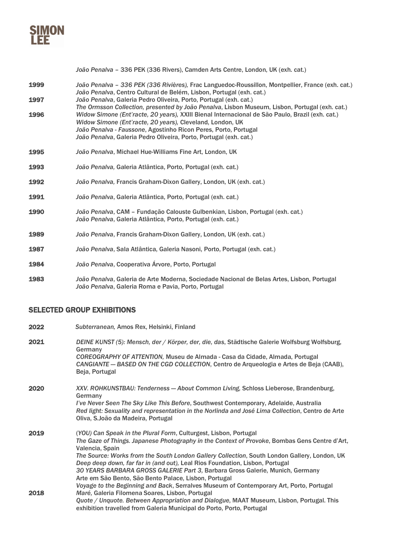

*João Penalva* – 336 PEK (336 Rivers), Camden Arts Centre, London, UK (exh. cat.)

- 1999 *João Penalva – 336 PEK (336 Rivières),* Frac Languedoc-Roussillon, Montpellier, France (exh. cat.) *João Penalva*, Centro Cultural de Belém, Lisbon, Portugal (exh. cat.) 1997 *João Penalva*, Galeria Pedro Oliveira, Porto, Portugal (exh. cat.) *The Ormsson Collection, presented by João Penalva*, Lisbon Museum, Lisbon, Portugal (exh. cat.) 1996 *Widow Simone (Ent'racte, 20 years),* XXIII Bienal Internacional de São Paulo, Brazil (exh. cat.)
- *Widow Simone (Ent'racte, 20 years),* Cleveland, London, UK *João Penalva - Faussone*, Agostinho Ricon Peres, Porto, Portugal *João Penalva*, Galeria Pedro Oliveira, Porto, Portugal (exh. cat.)
- 1995 *João Penalva*, Michael Hue-Williams Fine Art, London, UK
- 1993 *João Penalva,* Galeria Atlântica, Porto, Portugal (exh. cat.)
- 1992 *João Penalva,* Francis Graham-Dixon Gallery, London, UK (exh. cat.)
- 1991 *João Penalva*, Galeria Atlântica, Porto, Portugal (exh. cat.)
- 1990 *João Penalva*, CAM Fundação Calouste Gulbenkian, Lisbon, Portugal (exh. cat.) *João Penalva*, Galeria Atlântica, Porto, Portugal (exh. cat.)
- 1989 *João Penalva*, Francis Graham-Dixon Gallery, London, UK (exh. cat.)
- 1987 *João Penalva*, Sala Atlântica, Galeria Nasoni, Porto, Portugal (exh. cat.)
- 1984 *João Penalva*, Cooperativa Árvore, Porto, Portugal
- 1983 *João Penalva*, Galeria de Arte Moderna, Sociedade Nacional de Belas Artes, Lisbon, Portugal *João Penalva*, Galeria Roma e Pavia, Porto, Portugal

#### SELECTED GROUP EXHIBITIONS

| 2022 | Subterranean, Amos Rex, Helsinki, Finland                                                                                                                                                                                                                                                                                                                                                                                                                                                                      |
|------|----------------------------------------------------------------------------------------------------------------------------------------------------------------------------------------------------------------------------------------------------------------------------------------------------------------------------------------------------------------------------------------------------------------------------------------------------------------------------------------------------------------|
| 2021 | DEINE KUNST (5): Mensch, der / Körper, der, die, das, Städtische Galerie Wolfsburg Wolfsburg,<br>Germany<br>COREOGRAPHY OF ATTENTION, Museu de Almada - Casa da Cidade, Almada, Portugal<br>CANGIANTE - BASED ON THE CGD COLLECTION, Centro de Arqueologia e Artes de Beja (CAAB),<br>Beja, Portugal                                                                                                                                                                                                           |
| 2020 | XXV. ROHKUNSTBAU: Tenderness - About Common Living, Schloss Lieberose, Brandenburg,<br>Germany<br>I've Never Seen The Sky Like This Before, Southwest Contemporary, Adelaide, Australia<br>Red light: Sexuality and representation in the Norlinda and José Lima Collection, Centro de Arte<br>Oliva, S. João da Madeira, Portugal                                                                                                                                                                             |
| 2019 | (YOU) Can Speak in the Plural Form, Culturgest, Lisbon, Portugal<br>The Gaze of Things. Japanese Photography in the Context of Provoke, Bombas Gens Centre d'Art,<br>Valencia, Spain<br>The Source: Works from the South London Gallery Collection, South London Gallery, London, UK<br>Deep deep down, far far in (and out), Leal Rios Foundation, Lisbon, Portugal<br>30 YEARS BARBARA GROSS GALERIE Part 3, Barbara Gross Galerie, Munich, Germany<br>Arte em São Bento, São Bento Palace, Lisbon, Portugal |
| 2018 | Voyage to the Beginning and Back, Serralves Museum of Contemporary Art, Porto, Portugal<br>Maré, Galeria Filomena Soares, Lisbon, Portugal<br>Quote / Unquote. Between Appropriation and Dialogue, MAAT Museum, Lisbon, Portugal. This<br>exhibition travelled from Galeria Municipal do Porto, Porto, Portugal                                                                                                                                                                                                |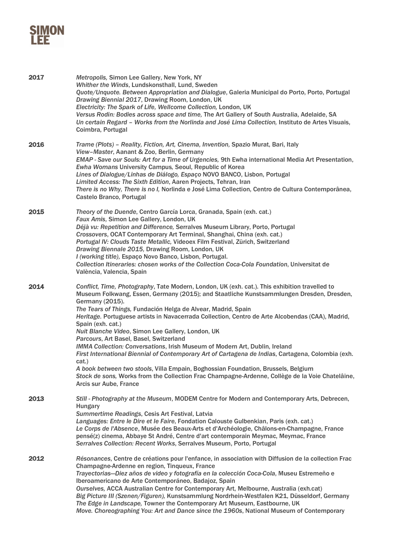

| 2017 | Metropolis, Simon Lee Gallery, New York, NY<br>Whither the Winds, Lundskonsthall, Lund, Sweden<br>Quote/Unquote. Between Appropriation and Dialogue, Galeria Municipal do Porto, Porto, Portugal<br>Drawing Biennial 2017, Drawing Room, London, UK<br>Electricity: The Spark of Life, Wellcome Collection, London, UK<br>Versus Rodin: Bodies across space and time, The Art Gallery of South Australia, Adelaide, SA<br>Un certain Regard - Works from the Norlinda and José Lima Collection, Instituto de Artes Visuais,<br>Coimbra, Portugal                                                                                                                                                                                                                                                                                                                                                                               |
|------|--------------------------------------------------------------------------------------------------------------------------------------------------------------------------------------------------------------------------------------------------------------------------------------------------------------------------------------------------------------------------------------------------------------------------------------------------------------------------------------------------------------------------------------------------------------------------------------------------------------------------------------------------------------------------------------------------------------------------------------------------------------------------------------------------------------------------------------------------------------------------------------------------------------------------------|
| 2016 | Trame (Plots) - Reality, Fiction, Art, Cinema, Invention, Spazio Murat, Bari, Italy<br>View-Master, Aanant & Zoo, Berlin, Germany<br>EMAP - Save our Souls: Art for a Time of Urgencies, 9th Ewha international Media Art Presentation,<br>Ewha Womans University Campus, Seoul, Republic of Korea<br>Lines of Dialogue/Linhas de Diálogo, Espaço NOVO BANCO, Lisbon, Portugal<br>Limited Access: The Sixth Edition, Aaren Projects, Tehran, Iran<br>There is no Why, There is no I, Norlinda e José Lima Collection, Centro de Cultura Contemporânea,<br>Castelo Branco, Portugal                                                                                                                                                                                                                                                                                                                                             |
| 2015 | Theory of the Duende, Centro García Lorca, Granada, Spain (exh. cat.)<br>Faux Amis, Simon Lee Gallery, London, UK<br>Déjà vu: Repetition and Difference, Serralves Museum Library, Porto, Portugal<br>Crossovers, OCAT Contemporary Art Terminal, Shanghai, China (exh. cat.)<br>Portugal IV: Clouds Taste Metallic, Videoex Film Festival, Zürich, Switzerland<br>Drawing Biennale 2015, Drawing Room, London, UK<br>I (working title), Espaço Novo Banco, Lisbon, Portugal.<br>Collection Itineraries: chosen works of the Collection Coca-Cola Foundation, Universitat de<br>València, Valencia, Spain                                                                                                                                                                                                                                                                                                                      |
| 2014 | Conflict, Time, Photography, Tate Modern, London, UK (exh. cat.). This exhibition travelled to<br>Museum Folkwang, Essen, Germany (2015); and Staatliche Kunstsammlungen Dresden, Dresden,<br>Germany (2015).<br>The Tears of Things, Fundación Helga de Alvear, Madrid, Spain<br>Heritage. Portuguese artists in Navacerrada Collection, Centro de Arte Alcobendas (CAA), Madrid,<br>Spain (exh. cat.)<br>Nuit Blanche Video, Simon Lee Gallery, London, UK<br>Parcours, Art Basel, Basel, Switzerland<br>IMMA Collection: Conversations, Irish Museum of Modern Art, Dublin, Ireland<br>First International Biennial of Contemporary Art of Cartagena de Indias, Cartagena, Colombia (exh.<br>cat.)<br>A book between two stools, Villa Empain, Boghossian Foundation, Brussels, Belgium<br>Stock de sons, Works from the Collection Frac Champagne-Ardenne, Collège de la Voie Chatelâine,<br><b>Arcis sur Aube, France</b> |
| 2013 | Still - Photography at the Museum, MODEM Centre for Modern and Contemporary Arts, Debrecen,<br>Hungary<br>Summertime Readings, Cesis Art Festival, Latvia<br>Languages: Entre le Dire et le Faire, Fondation Calouste Gulbenkian, Paris (exh. cat.)<br>Le Corps de l'Absence, Musée des Beaux-Arts et d'Archéologie, Châlons-en-Champagne, France<br>pensé(z) cinema, Abbaye St André, Centre d'art contemporain Meymac, Meymac, France<br>Serralves Collection: Recent Works, Serralves Museum, Porto, Portugal                                                                                                                                                                                                                                                                                                                                                                                                               |
| 2012 | Résonances, Centre de créations pour l'enfance, in association with Diffusion de la collection Frac<br>Champagne-Ardenne en region, Tinqueux, France<br>Trayectorias-Diez años de video y fotografía en la colección Coca-Cola, Museu Estremeño e<br>Iberoamericano de Arte Contemporáneo, Badajoz, Spain<br>Ourselves, ACCA Australian Centre for Contemporary Art, Melbourne, Australia (exh.cat)<br>Big Picture III (Szenen/Figuren), Kunstsammlung Nordrhein-Westfalen K21, Düsseldorf, Germany<br>The Edge in Landscape, Towner the Contemporary Art Museum, Eastbourne, UK<br>Move. Choreographing You: Art and Dance since the 1960s, National Museum of Contemporary                                                                                                                                                                                                                                                   |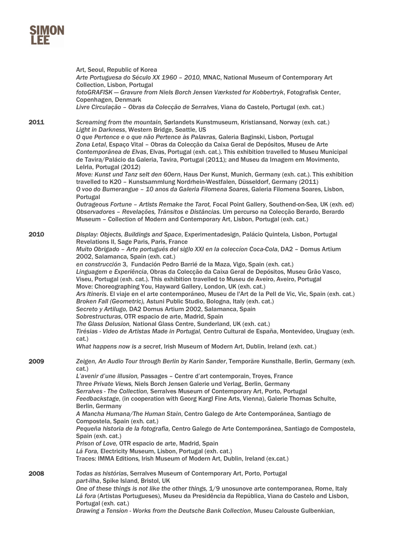|      | Art, Seoul, Republic of Korea<br>Arte Portuguesa do Século XX 1960 - 2010, MNAC, National Museum of Contemporary Art<br>Collection, Lisbon, Portugal<br>fotoGRAFISK - Gravure from Niels Borch Jensen Værksted for Kobbertryk, Fotografisk Center,<br>Copenhagen, Denmark<br>Livre Circulação - Obras da Colecção de Serralves, Viana do Castelo, Portugal (exh. cat.)                                                                                                                                                                                                                                                                                                                                                                                                                                                                                                                                                                                                                                                                                                                                                                                                                                                             |
|------|------------------------------------------------------------------------------------------------------------------------------------------------------------------------------------------------------------------------------------------------------------------------------------------------------------------------------------------------------------------------------------------------------------------------------------------------------------------------------------------------------------------------------------------------------------------------------------------------------------------------------------------------------------------------------------------------------------------------------------------------------------------------------------------------------------------------------------------------------------------------------------------------------------------------------------------------------------------------------------------------------------------------------------------------------------------------------------------------------------------------------------------------------------------------------------------------------------------------------------|
| 2011 | Screaming from the mountain, Sørlandets Kunstmuseum, Kristiansand, Norway (exh. cat.)<br>Light in Darkness, Western Bridge, Seattle, US<br>O que Pertence e o que não Pertence às Palavras, Galeria Baginski, Lisbon, Portugal<br>Zona Letal, Espaço Vital - Obras da Colecção da Caixa Geral de Depósitos, Museu de Arte<br>Contemporânea de Elvas, Elvas, Portugal (exh. cat.). This exhibition travelled to Museu Municipal<br>de Tavira/Palácio da Galeria, Tavira, Portugal (2011); and Museu da Imagem em Movimento,<br>Lelrla, Portugal (2012)<br>Move: Kunst und Tanz selt den 60ern, Haus Der Kunst, Munich, Germany (exh. cat.). This exhibition<br>travelled to K20 - Kunstsammlung Nordrhein-Westfalen, Düsseldorf, Germany (2011)<br>O voo do Bumerangue - 10 anos da Galeria Filomena Soares, Galeria Filomena Soares, Lisbon,<br>Portugal<br>Outrageous Fortune - Artists Remake the Tarot, Focal Point Gallery, Southend-on-Sea, UK (exh. ed)<br>Observadores - Revelações, Trânsitos e Distâncias. Um percurso na Colecção Berardo, Berardo<br>Museum - Collection of Modern and Contemporary Art, Lisbon, Portugal (exh. cat.)                                                                                   |
| 2010 | Display: Objects, Buildings and Space, Experimentadesign, Palácio Quintela, Lisbon, Portugal<br>Revelations II, Sage Paris, Paris, France<br>Muito Obrigado - Arte portugués del siglo XXI en la coleccion Coca-Cola, DA2 - Domus Artium<br>2002, Salamanca, Spain (exh. cat.)<br>en construcción 3, Fundación Pedro Barrié de la Maza, Vigo, Spain (exh. cat.)<br>Linguagem e Experiência, Obras da Colecção da Caixa Geral de Depósitos, Museu Grão Vasco,<br>Viseu, Portugal (exh. cat.). This exhibition travelled to Museu de Aveiro, Aveiro, Portugal<br>Move: Choreographing You, Hayward Gallery, London, UK (exh. cat.)<br>Ars Itineris. El viaje en el arte contemporáneo, Museu de l'Art de la Pell de Vic, Vic, Spain (exh. cat.)<br>Broken Fall (Geometric), Astuni Public Studio, Bologna, Italy (exh. cat.)<br>Secreto y Artilugo, DA2 Domus Artium 2002, Salamanca, Spain<br>Sobrestructuras, OTR espacio de arte, Madrid, Spain<br>The Glass Delusion, National Glass Centre, Sunderland, UK (exh. cat.)<br>Tirésias - Video de Artistas Made in Portugal, Centro Cultural de España, Montevideo, Uruguay (exh.<br>cat.)<br>What happens now is a secret, Irish Museum of Modern Art, Dublin, Ireland (exh. cat.) |
| 2009 | Zeigen, An Audio Tour through Berlin by Karin Sander, Temporäre Kunsthalle, Berlin, Germany (exh.<br>cat.)<br>L'avenir d'une illusion, Passages - Centre d'art contemporain, Troyes, France<br>Three Private Views, Niels Borch Jensen Galerie und Verlag, Berlin, Germany<br>Serralves - The Collection, Serralves Museum of Contemporary Art, Porto, Portugal<br>Feedbackstage, (in cooperation with Georg Kargl Fine Arts, Vienna), Galerie Thomas Schulte,<br>Berlin, Germany<br>A Mancha Humana/The Human Stain, Centro Galego de Arte Contemporánea, Santiago de<br>Compostela, Spain (exh. cat.)<br>Pequeña historia de la fotografia, Centro Galego de Arte Contemporánea, Santiago de Compostela,<br>Spain (exh. cat.)<br>Prison of Love, OTR espacio de arte, Madrid, Spain<br>Lá Fora, Electricity Museum, Lisbon, Portugal (exh. cat.)<br>Traces: IMMA Editions, Irish Museum of Modern Art, Dublin, Ireland (ex.cat.)                                                                                                                                                                                                                                                                                                 |
| 2008 | Todas as histórias, Serralves Museum of Contemporary Art, Porto, Portugal<br>part-ilha, Spike Island, Bristol, UK<br>One of these things is not like the other things, 1/9 unosunove arte contemporanea, Rome, Italy<br>Lá fora (Artistas Portugueses), Museu da Presidência da República, Viana do Castelo and Lisbon,<br>Portugal (exh. cat.)<br>Drawing a Tension - Works from the Deutsche Bank Collection, Museu Calouste Gulbenkian,                                                                                                                                                                                                                                                                                                                                                                                                                                                                                                                                                                                                                                                                                                                                                                                         |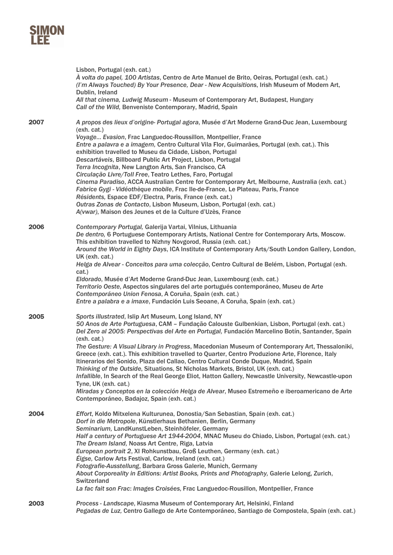|      | Lisbon, Portugal (exh. cat.)<br>A volta do papel, 100 Artistas, Centro de Arte Manuel de Brito, Oeiras, Portugal (exh. cat.)<br>(I'm Always Touched) By Your Presence, Dear - New Acquisitions, Irish Museum of Modern Art,<br>Dublin, Ireland<br>All that cinema, Ludwig Museum - Museum of Contemporary Art, Budapest, Hungary<br>Call of the Wild, Benveniste Contemporary, Madrid, Spain                                                                                                                                                                                                                                                                                                                                                                                                                                                                                                                                                                                                                                 |
|------|------------------------------------------------------------------------------------------------------------------------------------------------------------------------------------------------------------------------------------------------------------------------------------------------------------------------------------------------------------------------------------------------------------------------------------------------------------------------------------------------------------------------------------------------------------------------------------------------------------------------------------------------------------------------------------------------------------------------------------------------------------------------------------------------------------------------------------------------------------------------------------------------------------------------------------------------------------------------------------------------------------------------------|
| 2007 | A propos des lieux d'origine- Portugal agora, Musée d'Art Moderne Grand-Duc Jean, Luxembourg<br>(exh. cat.)<br>Voyage Evasion, Frac Languedoc-Roussillon, Montpellier, France<br>Entre a palavra e a imagem, Centro Cultural Vila Flor, Guimarães, Portugal (exh. cat.). This<br>exhibition travelled to Museu da Cidade, Lisbon, Portugal<br>Descartáveis, Billboard Public Art Project, Lisbon, Portugal<br>Terra Incognita, New Langton Arts, San Francisco, CA<br>Circulação Livre/Toll Free, Teatro Lethes, Faro, Portugal                                                                                                                                                                                                                                                                                                                                                                                                                                                                                              |
|      | Cinema Paradiso, ACCA Australian Centre for Contemporary Art, Melbourne, Australia (exh. cat.)<br>Fabrice Gygi - Vidéothèque mobile, Frac Ile-de-France, Le Plateau, Paris, France<br>Résidents, Espace EDF/Electra, Paris, France (exh. cat.)<br>Outras Zonas de Contacto, Lisbon Museum, Lisbon, Portugal (exh. cat.)<br>A(vwar), Maison des Jeunes et de la Culture d'Uzès, France                                                                                                                                                                                                                                                                                                                                                                                                                                                                                                                                                                                                                                        |
| 2006 | Contemporary Portugal, Galerija Vartai, Vilnius, Lithuania<br>De dentro, 6 Portuguese Contemporary Artists, National Centre for Contemporary Arts, Moscow.<br>This exhibition travelled to Nizhny Novgorod, Russia (exh. cat.)<br>Around the World in Eighty Days, ICA Institute of Contemporary Arts/South London Gallery, London,<br>UK (exh. cat.)<br>Helga de Alvear - Conceitos para uma colecção, Centro Cultural de Belém, Lisbon, Portugal (exh.<br>cat.)<br>Eldorado, Musée d'Art Moderne Grand-Duc Jean, Luxembourg (exh. cat.)<br>Territorio Oeste, Aspectos singulares del arte portugués contemporáneo, Museu de Arte<br>Contemporáneo Union Fenosa, A Coruña, Spain (exh. cat.)                                                                                                                                                                                                                                                                                                                                |
| 2005 | Entre a palabra e a imaxe, Fundación Luis Seoane, A Coruña, Spain (exh. cat.)<br>Sports illustrated, Islip Art Museum, Long Island, NY<br>50 Anos de Arte Portuguesa, CAM - Fundação Calouste Gulbenkian, Lisbon, Portugal (exh. cat.)<br>Del Zero al 2005: Perspectivas del Arte en Portugal, Fundación Marcelino Botín, Santander, Spain<br>(exh. cat.)<br>The Gesture: A Visual Library in Progress, Macedonian Museum of Contemporary Art, Thessaloniki,<br>Greece (exh. cat.). This exhibition travelled to Quarter, Centro Produzione Arte, Florence, Italy<br>Itinerarios del Sonido, Plaza del Callao, Centro Cultural Conde Duque, Madrid, Spain<br>Thinking of the Outside, Situations, St Nicholas Markets, Bristol, UK (exh. cat.)<br>Infallible, In Search of the Real George Eliot, Hatton Gallery, Newcastle University, Newcastle-upon<br>Tyne, UK (exh. cat.)<br>Miradas y Conceptos en la colección Helga de Alvear, Museo Estremeño e iberoamericano de Arte<br>Contemporáneo, Badajoz, Spain (exh. cat.) |
| 2004 | Effort, Koldo Mitxelena Kulturunea, Donostia/San Sebastian, Spain (exh. cat.)<br>Dorf in die Metropole, Künstlerhaus Bethanien, Berlin, Germany<br>Seminarium, LandKunstLeben, Steinhöfeler, Germany<br>Half a century of Portuguese Art 1944-2004, MNAC Museu do Chiado, Lisbon, Portugal (exh. cat.)<br>The Dream Island, Noass Art Centre, Riga, Latvia<br>European portrait 2, XI Rohkunstbau, Groß Leuthen, Germany (exh. cat.)<br>Éigse, Carlow Arts Festival, Carlow, Ireland (exh. cat.)<br>Fotografie-Ausstellung, Barbara Gross Galerie, Munich, Germany<br>About Corporeality in Editions: Artist Books, Prints and Photography, Galerie Lelong, Zurich,<br><b>Switzerland</b><br>La fac fait son Frac: Images Croisées, Frac Languedoc-Rousillon, Montpellier, France                                                                                                                                                                                                                                            |
| 2003 | Process - Landscape, Kiasma Museum of Contemporary Art, Helsinki, Finland<br>Pegadas de Luz, Centro Gallego de Arte Contemporáneo, Santiago de Compostela, Spain (exh. cat.)                                                                                                                                                                                                                                                                                                                                                                                                                                                                                                                                                                                                                                                                                                                                                                                                                                                 |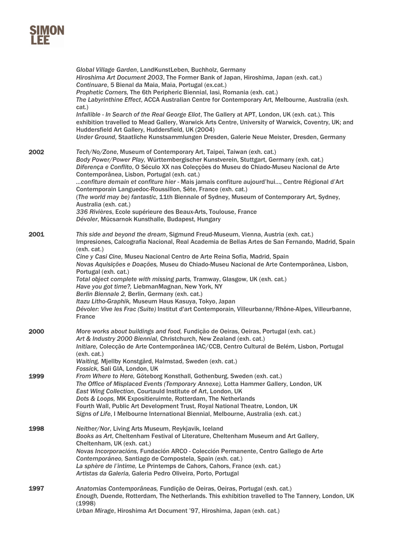|      | Global Village Garden, LandKunstLeben, Buchholz, Germany<br>Hiroshima Art Document 2003, The Former Bank of Japan, Hiroshima, Japan (exh. cat.)<br>Continuare, 5 Bienal da Maia, Maia, Portugal (ex.cat.)<br>Prophetic Corners, The 6th Peripheric Biennial, lasi, Romania (exh. cat.)<br>The Labyrinthine Effect, ACCA Australian Centre for Contemporary Art, Melbourne, Australia (exh.<br>cat.)<br>Infallible - In Search of the Real George Eliot, The Gallery at APT, London, UK (exh. cat.). This<br>exhibition travelled to Mead Gallery, Warwick Arts Centre, University of Warwick, Coventry, UK; and<br>Huddersfield Art Gallery, Huddersfield, UK (2004)<br>Under Ground, Staatliche Kunstsammlungen Dresden, Galerie Neue Meister, Dresden, Germany           |
|------|----------------------------------------------------------------------------------------------------------------------------------------------------------------------------------------------------------------------------------------------------------------------------------------------------------------------------------------------------------------------------------------------------------------------------------------------------------------------------------------------------------------------------------------------------------------------------------------------------------------------------------------------------------------------------------------------------------------------------------------------------------------------------|
| 2002 | Tech/No/Zone, Museum of Contemporary Art, Taipei, Taiwan (exh. cat.)<br>Body Power/Power Play, Württembergischer Kunstverein, Stuttgart, Germany (exh. cat.)<br>Diferença e Conflito, O Século XX nas Coleçções do Museu do Chiado-Museu Nacional de Arte<br>Contemporânea, Lisbon, Portugal (exh. cat.)<br>confiture demain et confiture hier - Mais jamais confiture aujourd'hui, Centre Régional d'Art<br>Contemporain Languedoc-Roussillon, Sète, France (exh. cat.)<br>(The world may be) fantastic, 11th Biennale of Sydney, Museum of Contemporary Art, Sydney,<br>Australia (exh. cat.)<br>336 Rivières, Ecole supérieure des Beaux-Arts, Toulouse, France<br>Dévoler, Mücsarnok Kunsthalle, Budapest, Hungary                                                     |
| 2001 | This side and beyond the dream, Sigmund Freud-Museum, Vienna, Austria (exh. cat.)<br>Impresiones, Calcografia Nacional, Real Academia de Bellas Artes de San Fernando, Madrid, Spain<br>(exh. cat.)<br>Cine y Casi Cine, Museu Nacional Centro de Arte Reina Sofia, Madrid, Spain<br>Novas Aquisições e Doações, Museu do Chiado-Museu Nacional de Arte Contemporânea, Lisbon,<br>Portugal (exh. cat.)<br>Total object complete with missing parts, Tramway, Glasgow, UK (exh. cat.)<br>Have you got time?, LiebmanMagnan, New York, NY<br>Berlin Biennale 2, Berlin, Germany (exh. cat.)<br>Itazu Litho-Graphik, Museum Haus Kasuya, Tokyo, Japan<br>Dévoler: Vive les Frac (Suite) Institut d'art Contemporain, Villeurbanne/Rhône-Alpes, Villeurbanne,<br><b>France</b> |
| 2000 | More works about buildings and food, Fundição de Oeiras, Oeiras, Portugal (exh. cat.)<br>Art & Industry 2000 Biennial, Christchurch, New Zealand (exh. cat.)<br>Initiare, Colecção de Arte Contemporânea IAC/CCB, Centro Cultural de Belém, Lisbon, Portugal<br>(exh. cat.)<br>Waiting, Mjellby Konstgård, Halmstad, Sweden (exh. cat.)<br>Fossick, Sali GIA, London, UK                                                                                                                                                                                                                                                                                                                                                                                                   |
| 1999 | From Where to Here, Göteborg Konsthall, Gothenburg, Sweden (exh. cat.)<br>The Office of Misplaced Events (Temporary Annexe), Lotta Hammer Gallery, London, UK<br>East Wing Collection, Courtauld Institute of Art, London, UK<br>Dots & Loops, MK Expositieruimte, Rotterdam, The Netherlands<br>Fourth Wall, Public Art Development Trust, Royal National Theatre, London, UK<br>Signs of Life, I Melbourne International Biennial, Melbourne, Australia (exh. cat.)                                                                                                                                                                                                                                                                                                      |
| 1998 | Neither/Nor, Living Arts Museum, Reykjavik, Iceland<br>Books as Art, Cheltenham Festival of Literature, Cheltenham Museum and Art Gallery,<br>Cheltenham, UK (exh. cat.)<br>Novas Incorporacións, Fundación ARCO - Colección Permanente, Centro Gallego de Arte<br>Contemporáneo, Santiago de Compostela, Spain (exh. cat.)<br>La sphère de l'intime, Le Printemps de Cahors, Cahors, France (exh. cat.)<br>Artistas da Galeria, Galeria Pedro Oliveira, Porto, Portugal                                                                                                                                                                                                                                                                                                   |
| 1997 | Anatomias Contemporâneas, Fundição de Oeiras, Oeiras, Portugal (exh. cat.)<br>Enough, Duende, Rotterdam, The Netherlands. This exhibition travelled to The Tannery, London, UK<br>(1998)<br>Urban Mirage, Hiroshima Art Document '97, Hiroshima, Japan (exh. cat.)                                                                                                                                                                                                                                                                                                                                                                                                                                                                                                         |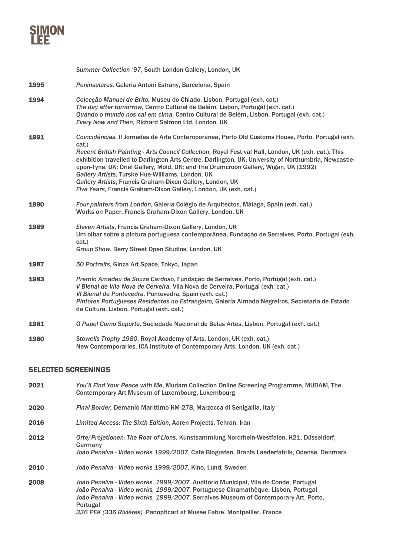

|      | Summer Collection '97, South London Gallery, London, UK                                                                                                                                                                                                                                                                                                                                                                                                                                                                                                                                                |
|------|--------------------------------------------------------------------------------------------------------------------------------------------------------------------------------------------------------------------------------------------------------------------------------------------------------------------------------------------------------------------------------------------------------------------------------------------------------------------------------------------------------------------------------------------------------------------------------------------------------|
| 1995 | Peninsulares, Galeria Antoni Estrany, Barcelona, Spain                                                                                                                                                                                                                                                                                                                                                                                                                                                                                                                                                 |
| 1994 | Colecção Manuel de Brito, Museu do Chiado, Lisbon, Portugal (exh. cat.)<br>The day after tomorrow, Centro Cultural de Belém, Lisbon, Portugal (exh. cat.)<br>Quando o mundo nos cai em cima, Centro Cultural de Belém, Lisbon, Portugal (exh. cat.)<br>Every Now and Then, Richard Salmon Ltd, London, UK                                                                                                                                                                                                                                                                                              |
| 1991 | Coincidências, II Jornadas de Arte Contemporânea, Porto Old Customs House, Porto, Portugal (exh.<br>cat.)<br>Recent British Painting - Arts Council Collection, Royal Festival Hall, London, UK (exh. cat.). This<br>exhibition travelled to Darlington Arts Centre, Darlington, UK; University of Northumbria, Newcastle-<br>upon-Tyne, UK; Oriel Gallery, Mold, UK; and The Drumcroon Gallery, Wigan, UK (1992)<br>Gallery Artists, Turske Hue-Williams, London, UK<br>Gallery Artists, Francis Graham-Dixon Gallery, London, UK<br>Five Years, Francis Graham-Dixon Gallery, London, UK (exh. cat.) |
| 1990 | Four painters from London, Galería Colégio de Arquitectos, Málaga, Spain (exh. cat.)<br>Works on Paper, Francis Graham-Dixon Gallery, London, UK                                                                                                                                                                                                                                                                                                                                                                                                                                                       |
| 1989 | Eleven Artists, Francis Graham-Dixon Gallery, London, UK<br>Um olhar sobre a pintura portuguesa contemporânea, Fundação de Serralves, Porto, Portugal (exh.<br>cat.)<br>Group Show, Berry Street Open Studios, London, UK                                                                                                                                                                                                                                                                                                                                                                              |
| 1987 | 50 Portraits, Ginza Art Space, Tokyo, Japan                                                                                                                                                                                                                                                                                                                                                                                                                                                                                                                                                            |
| 1983 | Prémio Amadeu de Souza Cardoso, Fundação de Serralves, Porto, Portugal (exh. cat.)<br>V Bienal de Vila Nova de Cerveira, Vila Nova de Cerveira, Portugal (exh. cat.)<br>VI Bienal de Pontevedra, Pontevedra, Spain (exh. cat.)<br>Pintores Portugueses Residentes no Estrangeiro, Galeria Almada Negreiros, Secretaria de Estado<br>da Cultura, Lisbon, Portugal (exh. cat.)                                                                                                                                                                                                                           |
| 1981 | O Papel Como Suporte, Sociedade Nacional de Belas Artes, Lisbon, Portugal (exh. cat.)                                                                                                                                                                                                                                                                                                                                                                                                                                                                                                                  |
| 1980 | Stowells Trophy 1980, Royal Academy of Arts, London, UK (exh. cat.)<br>New Contemporaries, ICA Institute of Contemporary Arts, London, UK (exh. cat.)                                                                                                                                                                                                                                                                                                                                                                                                                                                  |
|      |                                                                                                                                                                                                                                                                                                                                                                                                                                                                                                                                                                                                        |

# SELECTED SCREENINGS

- 2021 *You'll Find Your Peace with Me*, Mudam Collection Online Screening Programme, MUDAM, The Contemporary Art Museum of Luxembourg, Luxembourg
- 2020 *Final Border,* Demanio Marittimo KM-278, Marzocca di Senigallia, Italy
- 2016 *Limited Access: The Sixth Edition*, Aaren Projects, Tehran, Iran
- 2012 *Orte/Projetionen: The Roar of Lions,* Kunstsammlung Nordrhein-Westfalen, K21, Düsseldorf, Germany *João Penalva - Video works 1999/2007*, Café Biografen, Brants Laederfabrik, Odense, Denmark
- 2010 *João Penalva - Video works 1999/2007,* Kino, Lund, Sweden
- 2008 *João Penalva - Video works, 1999/2007,* Auditório Municipal, Vila do Conde, Portugal *João Penalva - Video works, 1999/2007,* Portuguese Cinamathèque, Lisbon, Portugal *João Penalva - Video works, 1999/2007,* Serralves Museum of Contemporary Art, Porto, Portugal *336 PEK (336 Rivières),* Panopticart at Musée Fabre, Montpellier, France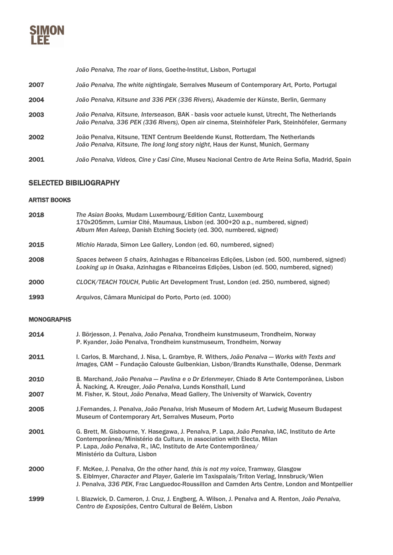

*João Penalva, The roar of lions*, Goethe-Institut, Lisbon, Portugal

- 2007 *João Penalva, The white nightingale,* Serralves Museum of Contemporary Art, Porto, Portugal
- 2004 *João Penalva, Kitsune and 336 PEK (336 Rivers),* Akademie der Künste, Berlin, Germany
- 2003 *João Penalva, Kitsune, Interseason,* BAK basis voor actuele kunst, Utrecht, The Netherlands *João Penalva, 336 PEK (336 Rivers),* Open air cinema, Steinhöfeler Park, Steinhöfeler, Germany
- 2002 João Penalva, Kitsune, TENT Centrum Beeldende Kunst, Rotterdam, The Netherlands *João Penalva, Kitsune, The long long story night*, Haus der Kunst, Munich, Germany
- 2001 *João Penalva, Videos, Cine y Casi Cine*, Museu Nacional Centro de Arte Reina Sofia, Madrid, Spain

### SELECTED BIBILIOGRAPHY

#### ARTIST BOOKS

| 2018 | The Asian Books, Mudam Luxembourg/Edition Cantz, Luxembourg<br>170x205mm, Lumiar Cité, Maumaus, Lisbon (ed. 300+20 a.p., numbered, signed)<br>Album Men Asleep, Danish Etching Society (ed. 300, numbered, signed) |
|------|--------------------------------------------------------------------------------------------------------------------------------------------------------------------------------------------------------------------|
| 2015 | Michio Harada, Simon Lee Gallery, London (ed. 60, numbered, signed)                                                                                                                                                |
| 2008 | Spaces between 5 chairs, Azinhagas e Ribanceiras Edicões, Lisbon (ed. 500, numbered, signed)<br>Looking up in Osaka, Azinhagas e Ribanceiras Edições, Lisbon (ed. 500, numbered, signed)                           |
| 2000 | CLOCK/TEACH TOUCH, Public Art Development Trust, London (ed. 250, numbered, signed)                                                                                                                                |
| 1993 | Arquivos, Câmara Municipal do Porto, Porto (ed. 1000)                                                                                                                                                              |

#### MONOGRAPHS

| 2014 | J. Börjesson, J. Penalva, João Penalva, Trondheim kunstmuseum, Trondheim, Norway<br>P. Kyander, João Penalva, Trondheim kunstmuseum, Trondheim, Norway                                                                                                                        |
|------|-------------------------------------------------------------------------------------------------------------------------------------------------------------------------------------------------------------------------------------------------------------------------------|
| 2011 | I. Carlos, B. Marchand, J. Nisa, L. Grambye, R. Withers, João Penalva - Works with Texts and<br>Images, CAM - Fundação Calouste Gulbenkian, Lisbon/Brandts Kunsthalle, Odense, Denmark                                                                                        |
| 2010 | B. Marchand, João Penalva - Pavlina e o Dr Erlenmeyer, Chiado 8 Arte Contemporânea, Lisbon<br>A. Nacking, A. Kreuger, João Penalva, Lunds Konsthall, Lund                                                                                                                     |
| 2007 | M. Fisher, K. Stout, João Penalva, Mead Gallery, The University of Warwick, Coventry                                                                                                                                                                                          |
| 2005 | J. Fernandes, J. Penalva, João Penalva, Irish Museum of Modern Art, Ludwig Museum Budapest<br>Museum of Contemporary Art, Serralves Museum, Porto                                                                                                                             |
| 2001 | G. Brett, M. Gisbourne, Y. Hasegawa, J. Penalva, P. Lapa, João Penalva, IAC, Instituto de Arte<br>Contemporânea/Ministério da Cultura, in association with Electa, Milan<br>P. Lapa, João Penalva, R., IAC, Instituto de Arte Contemporânea/<br>Ministério da Cultura, Lisbon |
| 2000 | F. McKee, J. Penalva, On the other hand, this is not my voice, Tramway, Glasgow<br>S. Eiblmyer, Character and Player, Galerie im Taxispalais/Triton Verlag, Innsbruck/Wien<br>J. Penalva, 336 PEK, Frac Languedoc-Roussillon and Camden Arts Centre, London and Montpellier   |
| 1999 | I. Blazwick, D. Cameron, J. Cruz, J. Engberg, A. Wilson, J. Penalva and A. Renton, João Penalva,<br>Centro de Exposições, Centro Cultural de Belém, Lisbon                                                                                                                    |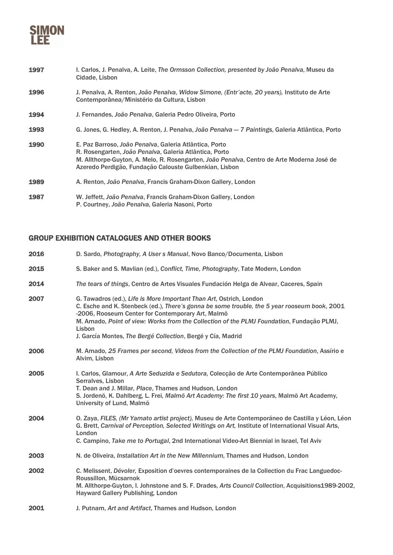

- 1997 I. Carlos, J. Penalva, A. Leite, *The Ormsson Collection, presented by João Penalva*, Museu da Cidade, Lisbon
- 1996 J. Penalva, A. Renton, *João Penalva, Widow Simone, (Entr'acte, 20 years),* Instituto de Arte Contemporânea/Ministério da Cultura, Lisbon
- 1994 J. Fernandes, *João Penalva*, Galeria Pedro Oliveira, Porto
- 1993 G. Jones, G. Hedley, A. Renton, J. Penalva, *João Penalva — 7 Paintings*, Galeria Atlântica, Porto

| 1990 | E. Paz Barroso, João Penalva, Galeria Atlântica, Porto<br>R. Rosengarten, João Penalva, Galeria Atlântica, Porto<br>M. Allthorpe-Guyton, A. Melo, R. Rosengarten, João Penalva, Centro de Arte Moderna José de<br>Azeredo Perdigão, Fundação Calouste Gulbenkian, Lisbon |
|------|--------------------------------------------------------------------------------------------------------------------------------------------------------------------------------------------------------------------------------------------------------------------------|
| 1989 | A. Renton, João Penalva, Francis Graham-Dixon Gallery, London                                                                                                                                                                                                            |

1987 W. Jeffett, *João Penalva*, Francis Graham-Dixon Gallery, London P. Courtney, *João Penalva*, Galeria Nasoni, Porto

## GROUP EXHIBITION CATALOGUES AND OTHER BOOKS

| 2016 | D. Sardo, Photography, A User s Manual, Novo Banco/Documenta, Lisbon                                                                                                                                                                                                                                                                                                                           |
|------|------------------------------------------------------------------------------------------------------------------------------------------------------------------------------------------------------------------------------------------------------------------------------------------------------------------------------------------------------------------------------------------------|
| 2015 | S. Baker and S. Mavlian (ed.), Conflict, Time, Photography, Tate Modern, London                                                                                                                                                                                                                                                                                                                |
| 2014 | The tears of things, Centro de Artes Visuales Fundación Helga de Alvear, Caceres, Spain                                                                                                                                                                                                                                                                                                        |
| 2007 | G. Tawadros (ed.), Life is More Important Than Art, Ostrich, London<br>C. Esche and K. Stenbeck (ed.), There's gonna be some trouble, the 5 year rooseum book, 2001<br>-2006, Rooseum Center for Contemporary Art, Malmö<br>M. Amado, Point of view: Works from the Collection of the PLMJ Foundation, Fundação PLMJ,<br>Lisbon<br>J. García Montes, The Bergé Collection, Bergé y Cía, Madrid |
| 2006 | M. Amado, 25 Frames per second, Videos from the Collection of the PLMJ Foundation, Assírio e<br>Alvim, Lisbon                                                                                                                                                                                                                                                                                  |
| 2005 | I. Carlos, Glamour, A Arte Seduzida e Sedutora, Colecção de Arte Contemporânea Público<br>Serralves, Lisbon<br>T. Dean and J. Millar, Place, Thames and Hudson, London<br>S. Jordenö, K. Dahlberg, L. Frei, Malmö Art Academy: The first 10 years, Malmö Art Academy,<br>University of Lund, Malmö                                                                                             |
| 2004 | O. Zaya, FILES, (Mr Yamato artist project), Museu de Arte Contemporáneo de Castilla y Léon, Léon<br>G. Brett, Carnival of Perception, Selected Writings on Art, Institute of International Visual Arts,<br>London<br>C. Campino, Take me to Portugal, 2nd International Video-Art Biennial in Israel, Tel Aviv                                                                                 |
| 2003 | N. de Oliveira, Installation Art in the New Millennium, Thames and Hudson, London                                                                                                                                                                                                                                                                                                              |
| 2002 | C. Melissent, Dévoler, Exposition d'oevres contemporaines de la Collection du Frac Languedoc-<br>Roussillon, Mücsarnok<br>M. Allthorpe-Guyton, I. Johnstone and S. F. Drades, Arts Council Collection, Acquisitions1989-2002,<br><b>Hayward Gallery Publishing, London</b>                                                                                                                     |
| 2001 | J. Putnam, Art and Artifact, Thames and Hudson, London                                                                                                                                                                                                                                                                                                                                         |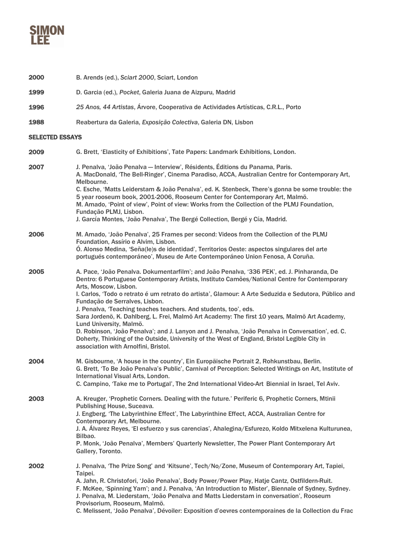

| 2000                   | B. Arends (ed.), Sciart 2000, Sciart, London                                                                                                                                                                                                                                                                                                                                                                                                                                                                                                                                                                                                                                                                                                                                                                 |
|------------------------|--------------------------------------------------------------------------------------------------------------------------------------------------------------------------------------------------------------------------------------------------------------------------------------------------------------------------------------------------------------------------------------------------------------------------------------------------------------------------------------------------------------------------------------------------------------------------------------------------------------------------------------------------------------------------------------------------------------------------------------------------------------------------------------------------------------|
| 1999                   | D. Garcia (ed.), Pocket, Galeria Juana de Aizpuru, Madrid                                                                                                                                                                                                                                                                                                                                                                                                                                                                                                                                                                                                                                                                                                                                                    |
| 1996                   | 25 Anos, 44 Artistas, Árvore, Cooperativa de Actividades Artísticas, C.R.L., Porto                                                                                                                                                                                                                                                                                                                                                                                                                                                                                                                                                                                                                                                                                                                           |
| 1988                   | Reabertura da Galeria, Exposição Colectiva, Galeria DN, Lisbon                                                                                                                                                                                                                                                                                                                                                                                                                                                                                                                                                                                                                                                                                                                                               |
| <b>SELECTED ESSAYS</b> |                                                                                                                                                                                                                                                                                                                                                                                                                                                                                                                                                                                                                                                                                                                                                                                                              |
| 2009                   | G. Brett, 'Elasticity of Exhibitions', Tate Papers: Landmark Exhibitions, London.                                                                                                                                                                                                                                                                                                                                                                                                                                                                                                                                                                                                                                                                                                                            |
| 2007                   | J. Penalva, 'João Penalva - Interview', Résidents, Éditions du Panama, Paris.<br>A. MacDonald, 'The Bell-Ringer', Cinema Paradiso, ACCA, Australian Centre for Contemporary Art,<br>Melbourne.<br>C. Esche, 'Matts Leiderstam & João Penalva', ed. K. Stenbeck, There's gonna be some trouble: the<br>5 year rooseum book, 2001-2006, Rooseum Center for Contemporary Art, Malmö.<br>M. Amado, 'Point of view', Point of view: Works from the Collection of the PLMJ Foundation,<br>Fundação PLMJ, Lisbon.<br>J. García Montes, 'João Penalva', The Bergé Collection, Bergé y Cía, Madrid.                                                                                                                                                                                                                   |
| 2006                   | M. Amado, 'João Penalva', 25 Frames per second: Videos from the Collection of the PLMJ<br>Foundation, Assírio e Alvim, Lisbon.<br>Ó. Alonso Medina, 'Seña(le)s de identidad', Territorios Oeste: aspectos singulares del arte<br>portugués contemporáneo', Museu de Arte Contemporáneo Union Fenosa, A Coruña.                                                                                                                                                                                                                                                                                                                                                                                                                                                                                               |
| 2005                   | A. Pace, 'João Penalva. Dokumentarfilm'; and João Penalva, '336 PEK', ed. J. Pinharanda, De<br>Dentro: 6 Portuguese Contemporary Artists, Instituto Camões/National Centre for Contemporary<br>Arts, Moscow, Lisbon.<br>I. Carlos, 'Todo o retrato é um retrato do artista', Glamour: A Arte Seduzida e Sedutora, Público and<br>Fundação de Serralves, Lisbon.<br>J. Penalva, 'Teaching teaches teachers. And students, too', eds.<br>Sara Jordenö, K. Dahlberg, L. Frei, Malmö Art Academy: The first 10 years, Malmö Art Academy,<br>Lund University, Malmö.<br>D. Robinson, 'João Penalva'; and J. Lanyon and J. Penalva, 'João Penalva in Conversation', ed. C.<br>Doherty, Thinking of the Outside, University of the West of England, Bristol Legible City in<br>association with Arnolfini, Bristol. |
| 2004                   | M. Gisbourne, 'A house in the country', Ein Europäische Portrait 2, Rohkunstbau, Berlin.<br>G. Brett, 'To Be João Penalva's Public', Carnival of Perception: Selected Writings on Art, Institute of<br>International Visual Arts, London.<br>C. Campino, 'Take me to Portugal', The 2nd International Video-Art Biennial in Israel, Tel Aviv.                                                                                                                                                                                                                                                                                                                                                                                                                                                                |
| 2003                   | A. Kreuger, 'Prophetic Corners. Dealing with the future.' Periferic 6, Prophetic Corners, Mtinii<br>Publishing House, Suceava.<br>J. Engberg, 'The Labyrinthine Effect', The Labyrinthine Effect, ACCA, Australian Centre for<br>Contemporary Art, Melbourne.<br>J. A. Álvarez Reyes, 'El esfuerzo y sus carencias', Ahalegina/Esfurezo, Koldo Mitxelena Kulturunea,<br>Bilbao.<br>P. Monk, 'João Penalva', Members' Quarterly Newsletter, The Power Plant Contemporary Art<br>Gallery, Toronto.                                                                                                                                                                                                                                                                                                             |
| 2002                   | J. Penalva, 'The Prize Song' and 'Kitsune', Tech/No/Zone, Museum of Contemporary Art, Tapiei,<br>Taipei.<br>A. Jahn, R. Christofori, 'João Penalva', Body Power/Power Play, Hatje Cantz, Ostfildern-Ruit.<br>F. McKee, 'Spinning Yarn'; and J. Penalva, 'An Introduction to Mister', Biennale of Sydney, Sydney.<br>J. Penalva, M. Liederstam, 'João Penalva and Matts Liederstam in conversation', Rooseum<br>Provisorium, Rooseum, Malmö.<br>C. Melissent, 'João Penalva', Dévoiler: Exposition d'oevres contemporaines de la Collection du Frac                                                                                                                                                                                                                                                           |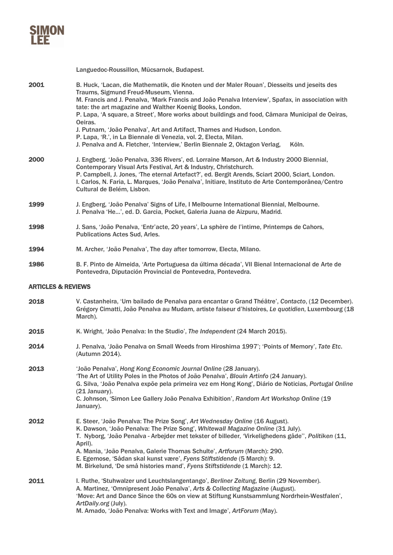

Languedoc-Roussillon, Mücsarnok, Budapest. 2001 B. Huck, 'Lacan, die Mathematik, die Knoten und der Maler Rouan', Diesseits und jeseits des Traums, Sigmund Freud-Museum, Vienna. M. Francis and J. Penalva, 'Mark Francis and João Penalva Interview', Spafax, in association with tate: the art magazine and Walther Koenig Books, London. P. Lapa, 'A square, a Street', More works about buildings and food, Câmara Municipal de Oeiras, Oeiras. J. Putnam, 'João Penalva', Art and Artifact, Thames and Hudson, London. P. Lapa, 'R.', in La Biennale di Venezia, vol. 2, Electa, Milan. J. Penalva and A. Fletcher, 'Interview,' Berlin Biennale 2, Oktagon Verlag, Köln. 2000 J. Engberg, 'João Penalva, 336 Rivers', ed. Lorraine Marson, Art & Industry 2000 Biennial, Contemporary Visual Arts Festival, Art & Industry, Christchurch. P. Campbell, J. Jones, 'The eternal Artefact?', ed. Bergit Arends, Sciart 2000, Sciart, London. I. Carlos, N. Faria, L. Marques, 'João Penalva', Initiare, Instituto de Arte Contemporânea/Centro Cultural de Belém, Lisbon. 1999 J. Engberg, 'João Penalva' Signs of Life, I Melbourne International Biennial, Melbourne. J. Penalva 'He…', ed. D. Garcia, Pocket, Galeria Juana de Aizpuru, Madrid. 1998 J. Sans, 'João Penalva, 'Entr'acte, 20 years', La sphère de l'intime, Printemps de Cahors, Publications Actes Sud, Arles. 1994 M. Archer, 'João Penalva', The day after tomorrow, Electa, Milano. 1986 B. F. Pinto de Almeida, 'Arte Portuguesa da última década', VII Bienal Internacional de Arte de Pontevedra, Diputación Provincial de Pontevedra, Pontevedra. ARTICLES & REVIEWS 2018 V. Castanheira, 'Um bailado de Penalva para encantar o Grand Théâtre', *Contacto*, (12 December). Grégory Cimatti, João Penalva au Mudam, artiste faiseur d'histoires, *Le quotidien*, Luxembourg (18 March). 2015 K. Wright, 'João Penalva: In the Studio', *The Independent* (24 March 2015). 2014 J. Penalva, 'João Penalva on Small Weeds from Hiroshima 1997'; 'Points of Memory', *Tate Etc*. (Autumn 2014). 2013 'João Penalva', *Hong Kong Economic Journal Online* (28 January). 'The Art of Utility Poles in the Photos of João Penalva', *Blouin Artinfo* (24 January). G. Silva, 'João Penalva expõe pela primeira vez em Hong Kong', Diário de Noticias, *Portugal Online* (21 January). C. Johnson, 'Simon Lee Gallery João Penalva Exhibition', *Random Art Workshop Online* (19 January). 2012 E. Steer, 'João Penalva: The Prize Song', *Art Wednesday Online* (16 August). K. Dawson, 'João Penalva: The Prize Song', *Whitewall Magazine Online* (31 July). T. Nyborg, 'João Penalva - Arbejder met tekster of billeder, 'Virkelighedens gåde'', *Politiken* (11, April). A. Mania, 'João Penalva, Galerie Thomas Schulte', *Artforum* (March): 290. E. Egemose, 'Sådan skal kunst være', *Fyens Stiftstidende* (5 March): 9. M. Birkelund, 'De små histories mand', *Fyens Stiftstidende* (1 March): 12. 2011 I. Ruthe, 'Stuhwalzer und Leuchtslangentango', *Berliner Zeitung*, Berlin (29 November). A. Martinez, 'Omnipresent João Penalva', *Arts & Collecting Magazine* (August). 'Move: Art and Dance Since the 60s on view at Stiftung Kunstsammlung Nordrhein-Westfalen', *ArtDaily.org* (July). M. Amado, 'João Penalva: Works with Text and Image', *ArtForum* (May).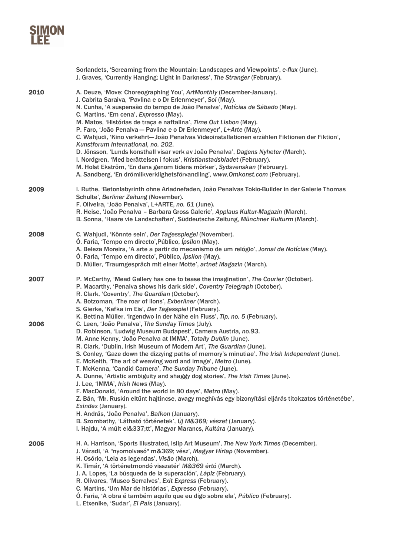|      | Sorlandets, 'Screaming from the Mountain: Landscapes and Viewpoints', e-flux (June).<br>J. Graves, 'Currently Hanging: Light in Darkness', The Stranger (February).                                                                                                                                                                                                                                                                                                                                                                                                                                                                                                                                                                                                                                                                                                                                                                                                                                 |
|------|-----------------------------------------------------------------------------------------------------------------------------------------------------------------------------------------------------------------------------------------------------------------------------------------------------------------------------------------------------------------------------------------------------------------------------------------------------------------------------------------------------------------------------------------------------------------------------------------------------------------------------------------------------------------------------------------------------------------------------------------------------------------------------------------------------------------------------------------------------------------------------------------------------------------------------------------------------------------------------------------------------|
| 2010 | A. Deuze, 'Move: Choreographing You', ArtMonthly (December-January).<br>J. Cabrita Saraiva, 'Pavlina e o Dr Erlenmeyer', Sol (May).<br>N. Cunha, 'A suspensão do tempo de João Penalva', Notícias de Sábado (May).<br>C. Martins, 'Em cena', Expresso (May).<br>M. Matos, 'Histórias de traça e naftalina', Time Out Lisbon (May).<br>P. Faro, 'João Penalva - Pavlina e o Dr Erlenmeyer', L+Arte (May).<br>C. Wahjudi, 'Kino verkehrt- João Penalvas Videoinstallationen erzählen Fiktionen der Fiktion',<br>Kunstforum International, no. 202.<br>D. Jönsson, 'Lunds konsthall visar verk av João Penalva', Dagens Nyheter (March).<br>I. Nordgren, 'Med berättelsen i fokus', Kristianstadsbladet (February).<br>M. Holst Ekström, 'En dans genom tidens mörker', Sydsvenskan (February).<br>A. Sandberg, 'En drömlikverklighetsförvandling', www.Omkonst.com (February).                                                                                                                        |
| 2009 | I. Ruthe, 'Betonlabyrinth ohne Ariadnefaden, João Penalvas Tokio-Builder in der Galerie Thomas<br>Schulte', Berliner Zeitung (November).<br>F. Oliveira, 'João Penalva', L+ARTE, no. 61 (June).<br>R. Heise, 'João Penalva - Barbara Gross Galerie', Applaus Kultur-Magazin (March).<br>B. Sonna, 'Haare vie Landschaften', Süddeutsche Zeitung, Münchner Kulturm (March).                                                                                                                                                                                                                                                                                                                                                                                                                                                                                                                                                                                                                          |
| 2008 | C. Wahjudi, 'Könnte sein', Der Tagesspiegel (November).<br>O. Faria, 'Tempo em directo', Público, Ipsilon (May).<br>A. Beleza Moreira, 'A arte a partir do mecanismo de um relógio', Jornal de Notícias (May).<br>Ó. Faria, 'Tempo em directo', Público, Ípsilon (May).<br>D. Müller, 'Traumgespräch mit einer Motte', artnet Magazin (March).                                                                                                                                                                                                                                                                                                                                                                                                                                                                                                                                                                                                                                                      |
| 2007 | P. McCarthy, 'Mead Gallery has one to tease the imagination', The Courier (October).<br>P. Macarthy, 'Penalva shows his dark side', Coventry Telegraph (October).<br>R. Clark, 'Coventry', The Guardian (October).<br>A. Botzoman, 'The roar of lions', Exberliner (March).<br>S. Gierke, 'Kafka im Eis', Der Tagesspiel (February).<br>K. Bettina Müller, 'Irgendwo in der Nähe ein Fluss', Tip, no. 5 (February).                                                                                                                                                                                                                                                                                                                                                                                                                                                                                                                                                                                 |
| 2006 | C. Leen, 'João Penalva', The Sunday Times (July).<br>D. Robinson, 'Ludwig Museum Budapest', Camera Austria, no.93.<br>M. Anne Kenny, 'João Penalva at IMMA', Totally Dublin (June).<br>R. Clark, 'Dublin, Irish Museum of Modern Art', The Guardian (June).<br>S. Conley, 'Gaze down the dizzying paths of memory's minutiae', The Irish Independent (June).<br>E. McKeith, 'The art of weaving word and image', Metro (June).<br>T. McKenna, 'Candid Camera', The Sunday Tribune (June).<br>A. Dunne, 'Artistic ambiguity and shaggy dog stories', The Irish Times (June).<br>J. Lee, 'IMMA', Irish News (May).<br>F. MacDonald, 'Around the world in 80 days', Metro (May).<br>Z. Bán, 'Mr. Ruskin eltűnt hajtincse, avagy meghívás egy bizonyítási eljárás titokzatos történetébe',<br>Exindex (January).<br>H. András, 'João Penalva', Balkon (January).<br>B. Szombathy, 'Látható történetek', Új M&369; vészet (January).<br>I. Hajdu, 'A múlt el&337;tt', Magyar Marancs, Kultúra (January). |
| 2005 | H. A. Harrison, 'Sports Illustrated, Islip Art Museum', The New York Times (December).<br>J. Váradi, 'A "nyomolvasó" m&369; vész', Magyar Hírlap (November).<br>H. Osório, 'Leia as legendas', Visão (March).<br>K. Timár, 'A történetmondó visszatér' M&369 értó (March).<br>J. A. Lopes, 'La búsqueda de la superación', Lápiz (February).<br>R. Olivares, 'Museo Serralves', Exit Express (February).<br>C. Martins, 'Um Mar de histórias', Expresso (February).<br>Ó. Faria, 'A obra é também aquilo que eu digo sobre ela', Público (February).<br>L. Etxenike, 'Sudar', El País (January).                                                                                                                                                                                                                                                                                                                                                                                                    |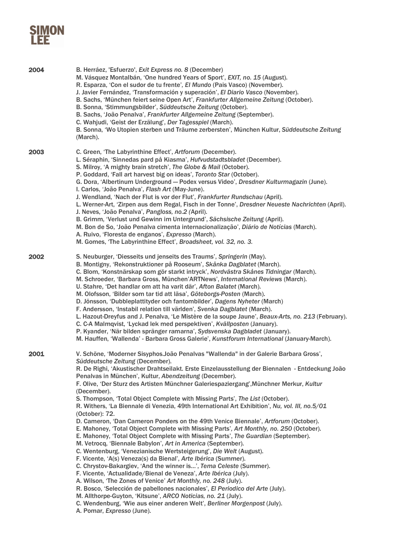| 2004 | B. Herráez, 'Esfuerzo', Exit Express no. 8 (December)<br>M. Vásquez Montalbán, 'One hundred Years of Sport', EXIT, no. 15 (August).<br>R. Esparza, 'Con el sudor de tu frente', El Mundo (Pais Vasco) (November).<br>J. Javier Fernández, 'Transformación y superación', El Diario Vasco (November).<br>B. Sachs, 'München feiert seine Open Art', Frankfurter Allgemeine Zeitung (October).<br>B. Sonna, 'Stimmungsbilder', Süddeutsche Zeitung (October).<br>B. Sachs, 'João Penalva', Frankfurter Allgemeine Zeitung (September).<br>C. Wahjudi, 'Geist der Erzälung', Der Tagesspiel (March).<br>B. Sonna, 'Wo Utopien sterben und Träume zerbersten', München Kultur, Süddeutsche Zeitung<br>(March).                                                                                                                                                                                                                                                                                                                                                                                                                                                                                                                                                                                                                                                                                                                                                                                                                                             |
|------|--------------------------------------------------------------------------------------------------------------------------------------------------------------------------------------------------------------------------------------------------------------------------------------------------------------------------------------------------------------------------------------------------------------------------------------------------------------------------------------------------------------------------------------------------------------------------------------------------------------------------------------------------------------------------------------------------------------------------------------------------------------------------------------------------------------------------------------------------------------------------------------------------------------------------------------------------------------------------------------------------------------------------------------------------------------------------------------------------------------------------------------------------------------------------------------------------------------------------------------------------------------------------------------------------------------------------------------------------------------------------------------------------------------------------------------------------------------------------------------------------------------------------------------------------------|
| 2003 | C. Green, 'The Labyrinthine Effect', Artforum (December).<br>L. Séraphin, 'Sinnedas pard på Kiasma', Hufvudstadtsbladet (December).<br>S. Milroy, 'A mighty brain stretch', The Globe & Mail (October).<br>P. Goddard, 'Fall art harvest big on ideas', Toronto Star (October).<br>G. Dora, 'Albertinum Underground - Podex versus Video', Dresdner Kulturmagazin (June).<br>I. Carlos, 'João Penalva', Flash Art (May-June).<br>J. Wendland, 'Nach der Flut is vor der Flut', Frankfurter Rundschau (April).<br>L. Werner-Art, 'Zirpen aus dem Regal, Fisch in der Tonne', Dresdner Neueste Nachrichten (April).<br>J. Neves, 'João Penalva', Pangloss, no.2 (April).<br>B. Grimm, 'Verlust und Gewinn im Untergrund', Sächsische Zeitung (April).<br>M. Bon de So, 'João Penalva cimenta internacionalização', Diário de Notícias (March).<br>A. Ruivo, 'Floresta de enganos', Expresso (March).<br>M. Gomes, 'The Labyrinthine Effect', Broadsheet, vol. 32, no. 3.                                                                                                                                                                                                                                                                                                                                                                                                                                                                                                                                                                                 |
| 2002 | S. Neuburger, 'Diesseits und jenseits des Traums', Springerin (May).<br>B. Montigny, 'Rekonstruktioner på Rooseum', Skånka Dagblatet (March).<br>C. Blom, 'Konstnärskap som gör starkt intryck', Nordvästra Skånes Tidningar (March).<br>M. Schroeder, 'Barbara Gross, München'ARTNews', International Reviews (March).<br>U. Stahre, 'Det handlar om att ha varit där', Afton Balatet (March).<br>M. Olofsson, 'Bilder som tar tid att läsa', Göteborgs-Posten (March).<br>D. Jönsson, 'Dubbleplattityder och fantombilder', Dagens Nyheter (March)<br>F. Andersson, 'Instabil relation till världen', Svenka Dagblatet (March).<br>L. Hazout-Dreyfus and J. Penalva, 'Le Mistère de la soupe Jaune', Beaux-Arts, no. 213 (February).<br>C. C-A Malmqvist, 'Lyckad lek med perspektiven', Kvällposten (January).<br>P. Kyander, 'När bilden spränger ramarna', Sydsvenska Dagbladet (January).<br>M. Hauffen, 'Wallenda' - Barbara Gross Galerie', Kunstforum International (January-March).                                                                                                                                                                                                                                                                                                                                                                                                                                                                                                                                                          |
| 2001 | V. Schöne, 'Moderner Sisyphos.João Penalvas "Wallenda" in der Galerie Barbara Gross',<br>Süddeutsche Zeitung (December).<br>R. De Righi, 'Akustischer Drahtseilakt. Erste Einzelausstellung der Biennalen - Entdeckung João<br>Penalvas in München', Kultur, Abendzeitung (December).<br>F. Olive, 'Der Sturz des Artisten Münchner Galeriespaziergang', Münchner Merkur, Kultur<br>(December).<br>S. Thompson, 'Total Object Complete with Missing Parts', The List (October).<br>R. Withers, 'La Biennale di Venezia, 49th International Art Exhibition', Nu, vol. III, no.5/01<br>(October): 72.<br>D. Cameron, 'Dan Cameron Ponders on the 49th Venice Biennale', Artforum (October).<br>E. Mahoney, 'Total Object Complete with Missing Parts', Art Monthly, no. 250 (October).<br>E. Mahoney, 'Total Object Complete with Missing Parts', The Guardian (September).<br>M. Vetrocq, 'Biennale Babylon', Art in America (September).<br>C. Wentenburg, 'Venezianische Wertsteigerung', Die Welt (August).<br>F. Vicente, 'A(s) Veneza(s) da Bienal', Arte Ibérica (Summer).<br>C. Chrystov-Bakargiev, 'And the winner is', Tema Celeste (Summer).<br>F. Vicente, 'Actualidade/Bienal de Veneza', Arte Ibérica (July).<br>A. Wilson, 'The Zones of Venice' Art Monthly, no. 248 (July).<br>R. Bosco, 'Selección de pabellones nacionales', El Periodico del Arte (July).<br>M. Allthorpe-Guyton, 'Kitsune', ARCO Noticias, no. 21 (July).<br>C. Wendenburg, 'Wie aus einer anderen Welt', Berliner Morgenpost (July).<br>A. Pomar, Expresso (June). |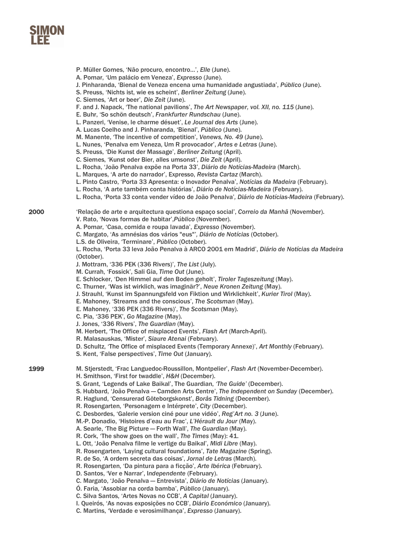

- P. Müller Gomes, 'Não procuro, encontro…', *Elle* (June).
- A. Pomar, 'Um palácio em Veneza', *Expresso* (June).
- J. Pinharanda, 'Bienal de Veneza encena uma humanidade angustiada', *Público* (June).
- S. Preuss, 'Nichts ist, wie es scheint', *Berliner Zeitung* (June).
- C. Siemes, 'Art or beer', *Die Zeit* (June).
- F. and J. Napack, 'The national pavilions', *The Art Newspaper, vol. XII, no. 115* (June).
- E. Buhr, 'So schön deutsch', *Frankfurter Rundschau* (June).
- L. Panzeri, 'Venise, le charme désuet', *Le Journal des Arts* (June).
- A. Lucas Coelho and J. Pinharanda, 'Bienal', *Público* (June).
- M. Manente, 'The incentive of competition', *Venews, No. 49* (June).
- L. Nunes, 'Penalva em Veneza, Um R provocador', *Artes e Letras* (June).
- S. Preuss, 'Die Kunst der Massage', *Berliner Zeitung* (April).
- C. Siemes, 'Kunst oder Bier, alles umsonst', *Die Zeit* (April).
- L. Rocha, 'João Penalva expõe na Porta 33', *Diário de Notícias-Madeira* (March).
- L. Marques, 'A arte do narrador', Expresso, *Revista Cartaz* (March).
- L. Pinto Castro, 'Porta 33 Apresenta: o Inovador Penalva', *Notícias da Madeira* (February).
- L. Rocha, 'A arte também conta histórias', *Diário de Notícias-Madeira* (February).
- L. Rocha, 'Porta 33 conta vender vídeo de João Penalva'*, Diário de Notícias-Madeira* (February).

2000 'Relação de arte e arquitectura questiona espaço social', *Correio da Manhã* (November).

- V. Rato, 'Novas formas de habitar',*Público* (November).
- A. Pomar, 'Casa, comida e roupa lavada', *Expresso* (November).
- C. Margato, 'As amnésias dos vários "eus"'*, Diário de Notícias* (October).
- L.S. de Oliveira, 'Terminare', *Público* (October).

L. Rocha, 'Porta 33 leva João Penalva à ARCO 2001 em Madrid', *Diário de Notícias da Madeira* (October).

- J. Mottram, '336 PEK (336 Rivers)', *The List* (July).
- M. Currah, 'Fossick', Sali Gia, *Time Out* (June).
- E. Schlocker, 'Den Himmel auf den Boden geholt', *Tiroler Tageszeitung* (May).
- C. Thurner, 'Was ist wirklich, was imaginär?', *Neue Kronen Zeitung* (May).
- J. Strauhl, 'Kunst im Spannungsfeld von Fiktion und Wirklichkeit', *Kurier Tirol* (May).
- E. Mahoney, 'Streams and the conscious', *The Scotsman* (May).
- E. Mahoney, '336 PEK (336 Rivers)', *The Scotsman* (May).
- C. Pia, '336 PEK', *Go Magazine* (May).
- J. Jones, '336 Rivers', *The Guardian* (May).
- M. Herbert, 'The Office of misplaced Events', *Flash Art* (March-April).
- R. Malasauskas, 'Mister', *Siaure Atenai* (February).
- D. Schultz, 'The Office of misplaced Events (Temporary Annexe)', *Art Monthly* (February).
- S. Kent, 'False perspectives', *Time Out* (January).

1999 M. Stjerstedt, 'Frac Languedoc-Roussillon, Montpelier', *Flash Art* (November-December).

- H. Smithson, 'First for twaddle', *H&H* (December).
- S. Grant, 'Legends of Lake Baikal', The Guardian, *'The Guide'* (December).
- S. Hubbard, 'João Penalva Camden Arts Centre', *The Independent on Sunday* (December).
- R. Haglund, 'Censurerad Göteborgskonst', *Borås Tidning* (December).
- R. Rosengarten, 'Personagem e Intérprete', *City* (December).
- C. Desbordes, 'Galerie version ciné pour une vidéo', *Reg'Art no. 3* (June).
- M.-P. Donadio, 'Histoires d'eau au Frac', *L'Hérault du Jour* (May).
- A. Searle, 'The Big Picture Forth Wall', *The Guardian* (May).
- R. Cork, 'The show goes on the wall', *The Times* (May): 41.
- L. Ott, 'João Penalva filme le vertige du Baikal', *Midi Libre* (May).
- R. Rosengarten, 'Laying cultural foundations', *Tate Magazine* (Spring).
- R. de So, 'A ordem secreta das coisas', *Jornal de Letras* (March).
- R. Rosengarten, 'Da pintura para a ficção', *Arte Ibérica* (February).
- D. Santos, 'Ver e Narrar', I*ndependente* (February).
- C. Margato, 'João Penalva Entrevista', *Diário de Notícias* (January).
- Ó. Faria, 'Assobiar na corda bamba', *Público* (January).
- C. Silva Santos, 'Artes Novas no CCB', *A Capital* (January).
- I. Queirós, 'As novas exposições no CCB', *Diário Económico* (January).
- C. Martins, 'Verdade e verosimilhança', *Expresso* (January).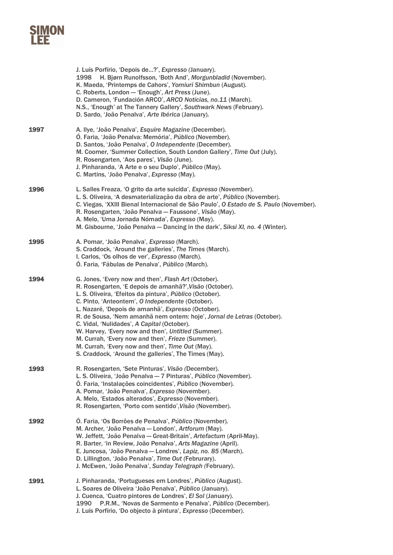|      | J. Luís Porfírio, 'Depois de?', Expresso (January).<br>1998 H. Bjørn Runolfsson, 'Both And', Morgunbladid (November).<br>K. Maeda, 'Printemps de Cahors', Yomiuri Shimbun (August).<br>C. Roberts, London - 'Enough', Art Press (June).<br>D. Cameron, 'Fundación ARCO', ARCO Notícias, no.11 (March).<br>N.S., 'Enough' at The Tannery Gallery', Southwark News (February).<br>D. Sardo, 'João Penalva', Arte Ibérica (January).                                                                                                                                                                                                       |
|------|-----------------------------------------------------------------------------------------------------------------------------------------------------------------------------------------------------------------------------------------------------------------------------------------------------------------------------------------------------------------------------------------------------------------------------------------------------------------------------------------------------------------------------------------------------------------------------------------------------------------------------------------|
| 1997 | A. Ilye, 'João Penalva', Esquire Magazine (December).<br>Ó. Faria, 'João Penalva: Memória', Público (November).<br>D. Santos, 'João Penalva', O Independente (December).<br>M. Coomer, 'Summer Collection, South London Gallery', Time Out (July).<br>R. Rosengarten, 'Aos pares', Visão (June).<br>J. Pinharanda, 'A Arte e o seu Duplo', Público (May).<br>C. Martins, 'João Penalva', Expresso (May).                                                                                                                                                                                                                                |
| 1996 | L. Salles Freaza, 'O grito da arte suicida', Expresso (November).<br>L. S. Oliveira, 'A desmaterialização da obra de arte', Público (November).<br>C. Viegas, 'XXIII Bienal Internacional de São Paulo', O Estado de S. Paulo (November).<br>R. Rosengarten, 'João Penalva - Faussone', Visão (May).<br>A. Melo, 'Uma Jornada Nómada', Expresso (May).<br>M. Gisbourne, 'João Penalva - Dancing in the dark', Siksi XI, no. 4 (Winter).                                                                                                                                                                                                 |
| 1995 | A. Pomar, 'João Penalva', Expresso (March).<br>S. Craddock, 'Around the galleries', The Times (March).<br>I. Carlos, 'Os olhos de ver', Expresso (March).<br>O. Faria, 'Fábulas de Penalva', Público (March).                                                                                                                                                                                                                                                                                                                                                                                                                           |
| 1994 | G. Jones, 'Every now and then', Flash Art (October).<br>R. Rosengarten, 'E depois de amanhã?', Visão (October).<br>L. S. Oliveira, 'Efeitos da pintura', Público (October).<br>C. Pinto, 'Anteontem', O Independente (October).<br>L. Nazaré, 'Depois de amanhã', Expresso (October).<br>R. de Sousa, 'Nem amanhã nem ontem: hoje', Jornal de Letras (October).<br>C. Vidal, 'Nulidades', A Capital (October).<br>W. Harvey, 'Every now and then', Untitled (Summer).<br>M. Currah, 'Every now and then', Frieze (Summer).<br>M. Currah, 'Every now and then', Time Out (May).<br>S. Craddock, 'Around the galleries', The Times (May). |
| 1993 | R. Rosengarten, 'Sete Pinturas', Visão (December).<br>L. S. Oliveira, 'João Penalva - 7 Pinturas', Público (November).<br>Ó. Faria, 'Instalações coincidentes', Público (November).<br>A. Pomar, 'João Penalva', Expresso (November).<br>A. Melo, 'Estados alterados', Expresso (November).<br>R. Rosengarten, 'Porto com sentido', Visão (November).                                                                                                                                                                                                                                                                                   |
| 1992 | Ó. Faria, 'Os Borrões de Penalva', Público (November).<br>M. Archer, 'João Penalva — London', Artforum (May).<br>W. Jeffett, 'João Penalva - Great-Britain', Artefactum (April-May).<br>R. Barter, 'in Review, João Penalva', Arts Magazine (April).<br>E. Juncosa, 'João Penalva - Londres', Lapiz, no. 85 (March).<br>D. Lillington, 'João Penalva', Time Out (Februrary).<br>J. McEwen, 'João Penalva', Sunday Telegraph (February).                                                                                                                                                                                                 |
| 1991 | J. Pinharanda, 'Portugueses em Londres', Público (August).<br>L. Soares de Oliveira 'João Penalva', Público (January).<br>J. Cuenca, 'Cuatro pintores de Londres', El Sol (January).<br>1990 P.R.M., 'Novas de Sarmento e Penalva', Público (December).<br>J. Luís Porfírio, 'Do objecto à pintura', Expresso (December).                                                                                                                                                                                                                                                                                                               |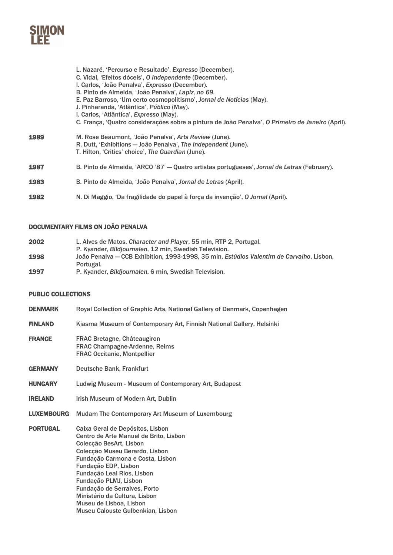

L. Nazaré, 'Percurso e Resultado', *Expresso* (December). C. Vidal, 'Efeitos dóceis', *O Independente* (December). I. Carlos, 'João Penalva', *Expresso* (December). B. Pinto de Almeida, 'João Penalva', *Lapiz, no 69.* E. Paz Barroso, 'Um certo cosmopolitismo', *Jornal de Notícias* (May). J. Pinharanda, 'Atlântica', *Público* (May). I. Carlos, 'Atlântica', *Expresso* (May). C. França, 'Quatro considerações sobre a pintura de João Penalva', *O Primeiro de Janeiro* (April). 1989 M. Rose Beaumont, 'João Penalva', *Arts Review* (June). R. Dutt, 'Exhibitions — João Penalva', *The Independent* (June). T. Hilton, 'Critics' choice', *The Guardian* (June). 1987 B. Pinto de Almeida, 'ARCO '87' — Quatro artistas portugueses', *Jornal de Letras* (February). 1983 B. Pinto de Almeida, 'João Penalva', *Jornal de Letras* (April). 1982 N. Di Maggio, 'Da fragilidade do papel à força da invenção', *O Jornal* (April).

#### DOCUMENTARY FILMS ON JOÃO PENALVA

| 2002 | L. Alves de Matos, Character and Player, 55 min, RTP 2, Portugal.                        |
|------|------------------------------------------------------------------------------------------|
|      | P. Kvander, Bildiournalen, 12 min. Swedish Television.                                   |
| 1998 | João Penalva — CCB Exhibition, 1993-1998, 35 min, Estúdios Valentim de Carvalho, Lisbon, |
|      | Portugal.                                                                                |
| 1997 | P. Kyander, Bildjournalen, 6 min, Swedish Television.                                    |

#### PUBLIC COLLECTIONS

| <b>DENMARK</b>    | Royal Collection of Graphic Arts, National Gallery of Denmark, Copenhagen                                                                                                                                                                                  |
|-------------------|------------------------------------------------------------------------------------------------------------------------------------------------------------------------------------------------------------------------------------------------------------|
| <b>FINLAND</b>    | Kiasma Museum of Contemporary Art, Finnish National Gallery, Helsinki                                                                                                                                                                                      |
| <b>FRANCE</b>     | FRAC Bretagne, Châteaugiron<br><b>FRAC Champagne-Ardenne, Reims</b><br><b>FRAC Occitanie, Montpellier</b>                                                                                                                                                  |
| <b>GERMANY</b>    | Deutsche Bank, Frankfurt                                                                                                                                                                                                                                   |
| <b>HUNGARY</b>    | Ludwig Museum - Museum of Contemporary Art, Budapest                                                                                                                                                                                                       |
| <b>IRELAND</b>    | <b>Irish Museum of Modern Art, Dublin</b>                                                                                                                                                                                                                  |
| <b>LUXEMBOURG</b> | Mudam The Contemporary Art Museum of Luxembourg                                                                                                                                                                                                            |
| <b>PORTUGAL</b>   | Caixa Geral de Depósitos, Lisbon<br>Centro de Arte Manuel de Brito, Lisbon<br>Colecção BesArt, Lisbon<br>Colecção Museu Berardo, Lisbon<br>Fundação Carmona e Costa, Lisbon<br>Fundação EDP, Lisbon<br>Fundação Leal Rios, Lisbon<br>Fundação PLMJ, Lisbon |

Museu de Lisboa, Lisbon Museu Calouste Gulbenkian, Lisbon

Fundação de Serralves, Porto Ministério da Cultura, Lisbon